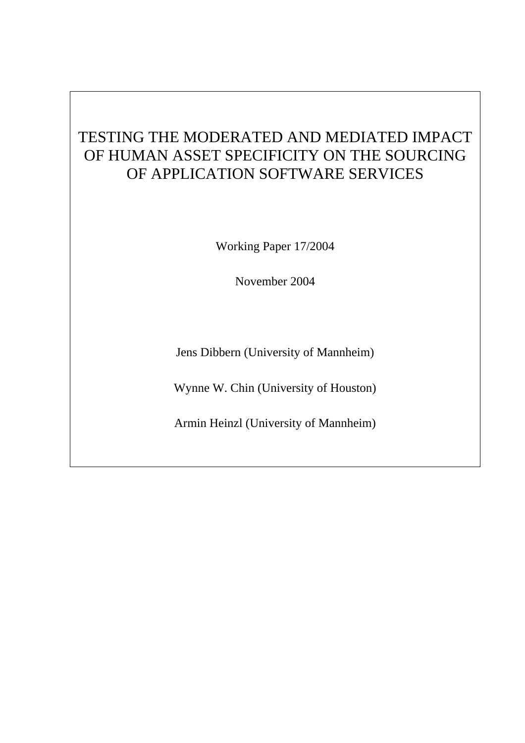# TESTING THE MODERATED AND MEDIATED IMPACT OF HUMAN ASSET SPECIFICITY ON THE SOURCING OF APPLICATION SOFTWARE SERVICES

Working Paper 17/2004

November 2004

Jens Dibbern (University of Mannheim)

Wynne W. Chin (University of Houston)

Armin Heinzl (University of Mannheim)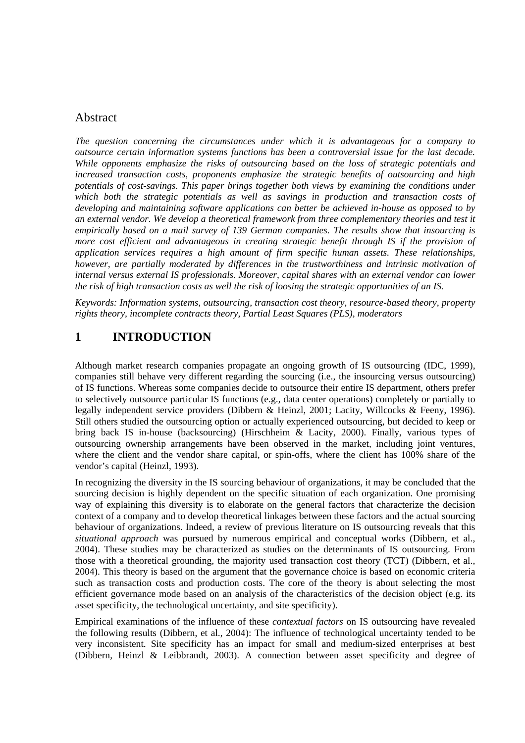# Abstract

*The question concerning the circumstances under which it is advantageous for a company to outsource certain information systems functions has been a controversial issue for the last decade. While opponents emphasize the risks of outsourcing based on the loss of strategic potentials and increased transaction costs, proponents emphasize the strategic benefits of outsourcing and high potentials of cost-savings. This paper brings together both views by examining the conditions under which both the strategic potentials as well as savings in production and transaction costs of developing and maintaining software applications can better be achieved in-house as opposed to by an external vendor. We develop a theoretical framework from three complementary theories and test it empirically based on a mail survey of 139 German companies. The results show that insourcing is more cost efficient and advantageous in creating strategic benefit through IS if the provision of application services requires a high amount of firm specific human assets. These relationships, however, are partially moderated by differences in the trustworthiness and intrinsic motivation of internal versus external IS professionals. Moreover, capital shares with an external vendor can lower the risk of high transaction costs as well the risk of loosing the strategic opportunities of an IS.* 

*Keywords: Information systems, outsourcing, transaction cost theory, resource-based theory, property rights theory, incomplete contracts theory, Partial Least Squares (PLS), moderators* 

# **1 INTRODUCTION**

Although market research companies propagate an ongoing growth of IS outsourcing (IDC, 1999), companies still behave very different regarding the sourcing (i.e., the insourcing versus outsourcing) of IS functions. Whereas some companies decide to outsource their entire IS department, others prefer to selectively outsource particular IS functions (e.g., data center operations) completely or partially to legally independent service providers (Dibbern & Heinzl, 2001; Lacity, Willcocks & Feeny, 1996). Still others studied the outsourcing option or actually experienced outsourcing, but decided to keep or bring back IS in-house (backsourcing) (Hirschheim & Lacity, 2000). Finally, various types of outsourcing ownership arrangements have been observed in the market, including joint ventures, where the client and the vendor share capital, or spin-offs, where the client has 100% share of the vendor's capital (Heinzl, 1993).

In recognizing the diversity in the IS sourcing behaviour of organizations, it may be concluded that the sourcing decision is highly dependent on the specific situation of each organization. One promising way of explaining this diversity is to elaborate on the general factors that characterize the decision context of a company and to develop theoretical linkages between these factors and the actual sourcing behaviour of organizations. Indeed, a review of previous literature on IS outsourcing reveals that this *situational approach* was pursued by numerous empirical and conceptual works (Dibbern, et al., 2004). These studies may be characterized as studies on the determinants of IS outsourcing. From those with a theoretical grounding, the majority used transaction cost theory (TCT) (Dibbern, et al., 2004). This theory is based on the argument that the governance choice is based on economic criteria such as transaction costs and production costs. The core of the theory is about selecting the most efficient governance mode based on an analysis of the characteristics of the decision object (e.g. its asset specificity, the technological uncertainty, and site specificity).

Empirical examinations of the influence of these *contextual factors* on IS outsourcing have revealed the following results (Dibbern, et al., 2004): The influence of technological uncertainty tended to be very inconsistent. Site specificity has an impact for small and medium-sized enterprises at best (Dibbern, Heinzl & Leibbrandt, 2003). A connection between asset specificity and degree of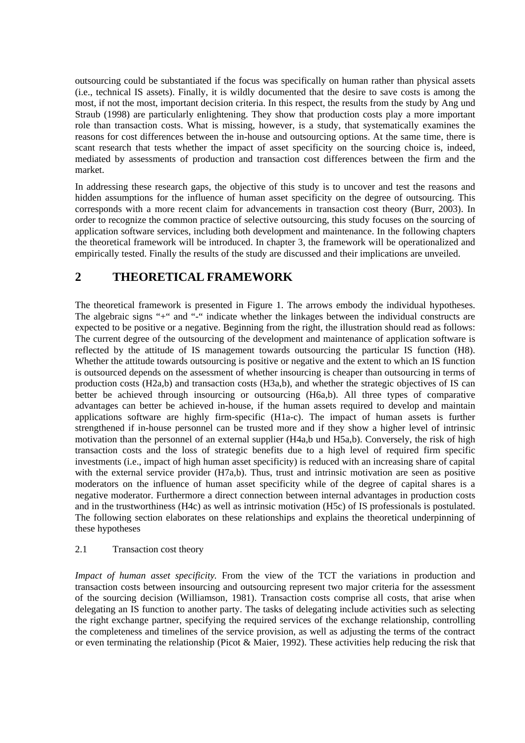outsourcing could be substantiated if the focus was specifically on human rather than physical assets (i.e., technical IS assets). Finally, it is wildly documented that the desire to save costs is among the most, if not the most, important decision criteria. In this respect, the results from the study by Ang und Straub (1998) are particularly enlightening. They show that production costs play a more important role than transaction costs. What is missing, however, is a study, that systematically examines the reasons for cost differences between the in-house and outsourcing options. At the same time, there is scant research that tests whether the impact of asset specificity on the sourcing choice is, indeed, mediated by assessments of production and transaction cost differences between the firm and the market.

In addressing these research gaps, the objective of this study is to uncover and test the reasons and hidden assumptions for the influence of human asset specificity on the degree of outsourcing. This corresponds with a more recent claim for advancements in transaction cost theory (Burr, 2003). In order to recognize the common practice of selective outsourcing, this study focuses on the sourcing of application software services, including both development and maintenance. In the following chapters the theoretical framework will be introduced. In chapter 3, the framework will be operationalized and empirically tested. Finally the results of the study are discussed and their implications are unveiled.

# **2 THEORETICAL FRAMEWORK**

The theoretical framework is presented in Figure 1. The arrows embody the individual hypotheses. The algebraic signs "+" and "-" indicate whether the linkages between the individual constructs are expected to be positive or a negative. Beginning from the right, the illustration should read as follows: The current degree of the outsourcing of the development and maintenance of application software is reflected by the attitude of IS management towards outsourcing the particular IS function (H8). Whether the attitude towards outsourcing is positive or negative and the extent to which an IS function is outsourced depends on the assessment of whether insourcing is cheaper than outsourcing in terms of production costs (H2a,b) and transaction costs (H3a,b), and whether the strategic objectives of IS can better be achieved through insourcing or outsourcing (H6a,b). All three types of comparative advantages can better be achieved in-house, if the human assets required to develop and maintain applications software are highly firm-specific (H1a-c). The impact of human assets is further strengthened if in-house personnel can be trusted more and if they show a higher level of intrinsic motivation than the personnel of an external supplier (H4a,b und H5a,b). Conversely, the risk of high transaction costs and the loss of strategic benefits due to a high level of required firm specific investments (i.e., impact of high human asset specificity) is reduced with an increasing share of capital with the external service provider (H7a,b). Thus, trust and intrinsic motivation are seen as positive moderators on the influence of human asset specificity while of the degree of capital shares is a negative moderator. Furthermore a direct connection between internal advantages in production costs and in the trustworthiness (H4c) as well as intrinsic motivation (H5c) of IS professionals is postulated. The following section elaborates on these relationships and explains the theoretical underpinning of these hypotheses

## 2.1 Transaction cost theory

*Impact of human asset specificity.* From the view of the TCT the variations in production and transaction costs between insourcing and outsourcing represent two major criteria for the assessment of the sourcing decision (Williamson, 1981). Transaction costs comprise all costs, that arise when delegating an IS function to another party. The tasks of delegating include activities such as selecting the right exchange partner, specifying the required services of the exchange relationship, controlling the completeness and timelines of the service provision, as well as adjusting the terms of the contract or even terminating the relationship (Picot & Maier, 1992). These activities help reducing the risk that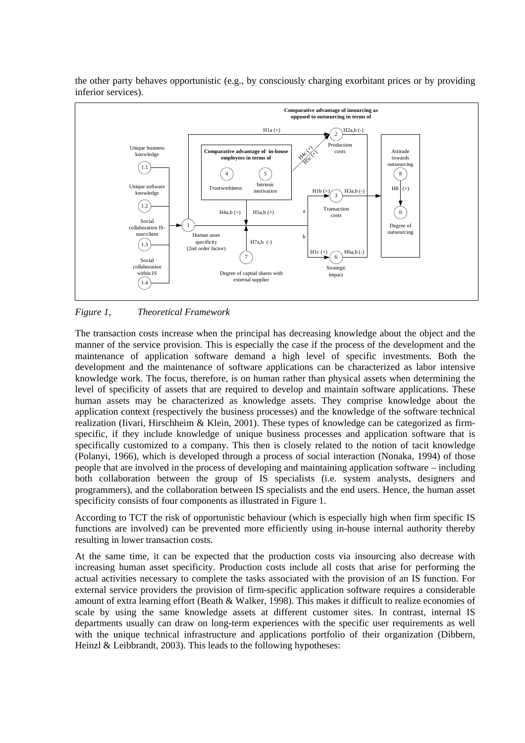

the other party behaves opportunistic (e.g., by consciously charging exorbitant prices or by providing inferior services).

*Figure 1, Theoretical Framework* 

The transaction costs increase when the principal has decreasing knowledge about the object and the manner of the service provision. This is especially the case if the process of the development and the maintenance of application software demand a high level of specific investments. Both the development and the maintenance of software applications can be characterized as labor intensive knowledge work. The focus, therefore, is on human rather than physical assets when determining the level of specificity of assets that are required to develop and maintain software applications. These human assets may be characterized as knowledge assets. They comprise knowledge about the application context (respectively the business processes) and the knowledge of the software technical realization (Iivari, Hirschheim & Klein, 2001). These types of knowledge can be categorized as firmspecific, if they include knowledge of unique business processes and application software that is specifically customized to a company. This then is closely related to the notion of tacit knowledge (Polanyi, 1966), which is developed through a process of social interaction (Nonaka, 1994) of those people that are involved in the process of developing and maintaining application software – including both collaboration between the group of IS specialists (i.e. system analysts, designers and programmers), and the collaboration between IS specialists and the end users. Hence, the human asset specificity consists of four components as illustrated in Figure 1.

According to TCT the risk of opportunistic behaviour (which is especially high when firm specific IS functions are involved) can be prevented more efficiently using in-house internal authority thereby resulting in lower transaction costs.

At the same time, it can be expected that the production costs via insourcing also decrease with increasing human asset specificity. Production costs include all costs that arise for performing the actual activities necessary to complete the tasks associated with the provision of an IS function. For external service providers the provision of firm-specific application software requires a considerable amount of extra learning effort (Beath & Walker, 1998). This makes it difficult to realize economies of scale by using the same knowledge assets at different customer sites. In contrast, internal IS departments usually can draw on long-term experiences with the specific user requirements as well with the unique technical infrastructure and applications portfolio of their organization (Dibbern, Heinzl & Leibbrandt, 2003). This leads to the following hypotheses: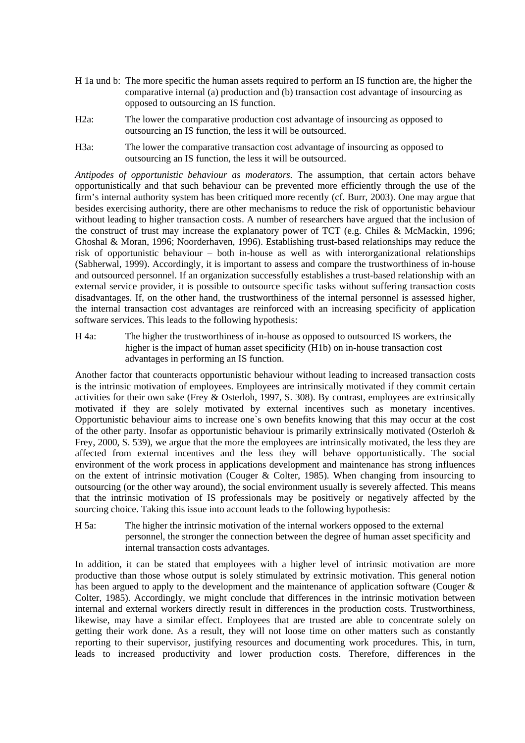- H 1a und b: The more specific the human assets required to perform an IS function are, the higher the comparative internal (a) production and (b) transaction cost advantage of insourcing as opposed to outsourcing an IS function.
- H2a: The lower the comparative production cost advantage of insourcing as opposed to outsourcing an IS function, the less it will be outsourced.
- H3a: The lower the comparative transaction cost advantage of insourcing as opposed to outsourcing an IS function, the less it will be outsourced.

*Antipodes of opportunistic behaviour as moderators.* The assumption, that certain actors behave opportunistically and that such behaviour can be prevented more efficiently through the use of the firm's internal authority system has been critiqued more recently (cf. Burr, 2003). One may argue that besides exercising authority, there are other mechanisms to reduce the risk of opportunistic behaviour without leading to higher transaction costs. A number of researchers have argued that the inclusion of the construct of trust may increase the explanatory power of TCT (e.g. Chiles & McMackin, 1996; Ghoshal & Moran, 1996; Noorderhaven, 1996). Establishing trust-based relationships may reduce the risk of opportunistic behaviour – both in-house as well as with interorganizational relationships (Sabherwal, 1999). Accordingly, it is important to assess and compare the trustworthiness of in-house and outsourced personnel. If an organization successfully establishes a trust-based relationship with an external service provider, it is possible to outsource specific tasks without suffering transaction costs disadvantages. If, on the other hand, the trustworthiness of the internal personnel is assessed higher, the internal transaction cost advantages are reinforced with an increasing specificity of application software services. This leads to the following hypothesis:

H 4a: The higher the trustworthiness of in-house as opposed to outsourced IS workers, the higher is the impact of human asset specificity (H1b) on in-house transaction cost advantages in performing an IS function.

Another factor that counteracts opportunistic behaviour without leading to increased transaction costs is the intrinsic motivation of employees. Employees are intrinsically motivated if they commit certain activities for their own sake (Frey & Osterloh, 1997, S. 308). By contrast, employees are extrinsically motivated if they are solely motivated by external incentives such as monetary incentives. Opportunistic behaviour aims to increase one`s own benefits knowing that this may occur at the cost of the other party. Insofar as opportunistic behaviour is primarily extrinsically motivated (Osterloh & Frey, 2000, S. 539), we argue that the more the employees are intrinsically motivated, the less they are affected from external incentives and the less they will behave opportunistically. The social environment of the work process in applications development and maintenance has strong influences on the extent of intrinsic motivation (Couger & Colter, 1985). When changing from insourcing to outsourcing (or the other way around), the social environment usually is severely affected. This means that the intrinsic motivation of IS professionals may be positively or negatively affected by the sourcing choice. Taking this issue into account leads to the following hypothesis:

H 5a: The higher the intrinsic motivation of the internal workers opposed to the external personnel, the stronger the connection between the degree of human asset specificity and internal transaction costs advantages.

In addition, it can be stated that employees with a higher level of intrinsic motivation are more productive than those whose output is solely stimulated by extrinsic motivation. This general notion has been argued to apply to the development and the maintenance of application software (Couger & Colter, 1985). Accordingly, we might conclude that differences in the intrinsic motivation between internal and external workers directly result in differences in the production costs. Trustworthiness, likewise, may have a similar effect. Employees that are trusted are able to concentrate solely on getting their work done. As a result, they will not loose time on other matters such as constantly reporting to their supervisor, justifying resources and documenting work procedures. This, in turn, leads to increased productivity and lower production costs. Therefore, differences in the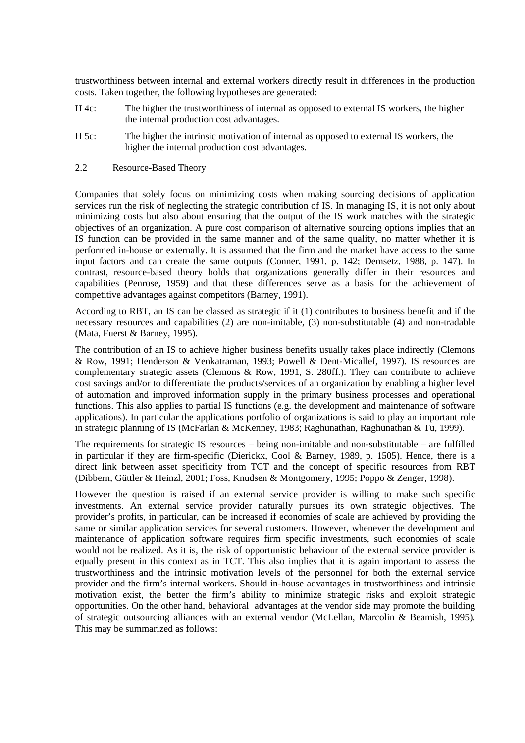trustworthiness between internal and external workers directly result in differences in the production costs. Taken together, the following hypotheses are generated:

- H 4c: The higher the trustworthiness of internal as opposed to external IS workers, the higher the internal production cost advantages.
- H 5c: The higher the intrinsic motivation of internal as opposed to external IS workers, the higher the internal production cost advantages.
- 2.2 Resource-Based Theory

Companies that solely focus on minimizing costs when making sourcing decisions of application services run the risk of neglecting the strategic contribution of IS. In managing IS, it is not only about minimizing costs but also about ensuring that the output of the IS work matches with the strategic objectives of an organization. A pure cost comparison of alternative sourcing options implies that an IS function can be provided in the same manner and of the same quality, no matter whether it is performed in-house or externally. It is assumed that the firm and the market have access to the same input factors and can create the same outputs (Conner, 1991, p. 142; Demsetz, 1988, p. 147). In contrast, resource-based theory holds that organizations generally differ in their resources and capabilities (Penrose, 1959) and that these differences serve as a basis for the achievement of competitive advantages against competitors (Barney, 1991).

According to RBT, an IS can be classed as strategic if it (1) contributes to business benefit and if the necessary resources and capabilities (2) are non-imitable, (3) non-substitutable (4) and non-tradable (Mata, Fuerst & Barney, 1995).

The contribution of an IS to achieve higher business benefits usually takes place indirectly (Clemons & Row, 1991; Henderson & Venkatraman, 1993; Powell & Dent-Micallef, 1997). IS resources are complementary strategic assets (Clemons & Row, 1991, S. 280ff.). They can contribute to achieve cost savings and/or to differentiate the products/services of an organization by enabling a higher level of automation and improved information supply in the primary business processes and operational functions. This also applies to partial IS functions (e.g. the development and maintenance of software applications). In particular the applications portfolio of organizations is said to play an important role in strategic planning of IS (McFarlan & McKenney, 1983; Raghunathan, Raghunathan & Tu, 1999).

The requirements for strategic IS resources – being non-imitable and non-substitutable – are fulfilled in particular if they are firm-specific (Dierickx, Cool & Barney, 1989, p. 1505). Hence, there is a direct link between asset specificity from TCT and the concept of specific resources from RBT (Dibbern, Güttler & Heinzl, 2001; Foss, Knudsen & Montgomery, 1995; Poppo & Zenger, 1998).

However the question is raised if an external service provider is willing to make such specific investments. An external service provider naturally pursues its own strategic objectives. The provider's profits, in particular, can be increased if economies of scale are achieved by providing the same or similar application services for several customers. However, whenever the development and maintenance of application software requires firm specific investments, such economies of scale would not be realized. As it is, the risk of opportunistic behaviour of the external service provider is equally present in this context as in TCT. This also implies that it is again important to assess the trustworthiness and the intrinsic motivation levels of the personnel for both the external service provider and the firm's internal workers. Should in-house advantages in trustworthiness and intrinsic motivation exist, the better the firm's ability to minimize strategic risks and exploit strategic opportunities. On the other hand, behavioral advantages at the vendor side may promote the building of strategic outsourcing alliances with an external vendor (McLellan, Marcolin & Beamish, 1995). This may be summarized as follows: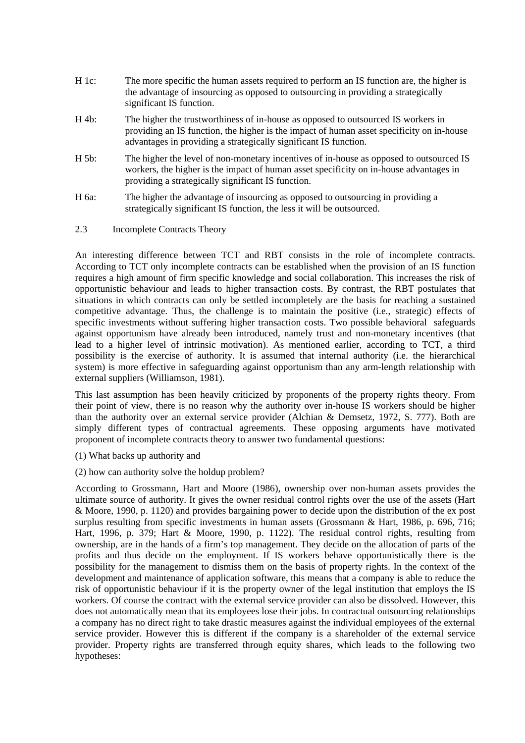- H 1c: The more specific the human assets required to perform an IS function are, the higher is the advantage of insourcing as opposed to outsourcing in providing a strategically significant IS function.
- H 4b: The higher the trustworthiness of in-house as opposed to outsourced IS workers in providing an IS function, the higher is the impact of human asset specificity on in-house advantages in providing a strategically significant IS function.
- H 5b: The higher the level of non-monetary incentives of in-house as opposed to outsourced IS workers, the higher is the impact of human asset specificity on in-house advantages in providing a strategically significant IS function.
- H 6a: The higher the advantage of insourcing as opposed to outsourcing in providing a strategically significant IS function, the less it will be outsourced.
- 2.3 Incomplete Contracts Theory

An interesting difference between TCT and RBT consists in the role of incomplete contracts. According to TCT only incomplete contracts can be established when the provision of an IS function requires a high amount of firm specific knowledge and social collaboration. This increases the risk of opportunistic behaviour and leads to higher transaction costs. By contrast, the RBT postulates that situations in which contracts can only be settled incompletely are the basis for reaching a sustained competitive advantage. Thus, the challenge is to maintain the positive (i.e., strategic) effects of specific investments without suffering higher transaction costs. Two possible behavioral safeguards against opportunism have already been introduced, namely trust and non-monetary incentives (that lead to a higher level of intrinsic motivation). As mentioned earlier, according to TCT, a third possibility is the exercise of authority. It is assumed that internal authority (i.e. the hierarchical system) is more effective in safeguarding against opportunism than any arm-length relationship with external suppliers (Williamson, 1981).

This last assumption has been heavily criticized by proponents of the property rights theory. From their point of view, there is no reason why the authority over in-house IS workers should be higher than the authority over an external service provider (Alchian & Demsetz, 1972, S. 777). Both are simply different types of contractual agreements. These opposing arguments have motivated proponent of incomplete contracts theory to answer two fundamental questions:

- (1) What backs up authority and
- (2) how can authority solve the holdup problem?

According to Grossmann, Hart and Moore (1986), ownership over non-human assets provides the ultimate source of authority. It gives the owner residual control rights over the use of the assets (Hart & Moore, 1990, p. 1120) and provides bargaining power to decide upon the distribution of the ex post surplus resulting from specific investments in human assets (Grossmann & Hart, 1986, p. 696, 716; Hart, 1996, p. 379; Hart & Moore, 1990, p. 1122). The residual control rights, resulting from ownership, are in the hands of a firm's top management. They decide on the allocation of parts of the profits and thus decide on the employment. If IS workers behave opportunistically there is the possibility for the management to dismiss them on the basis of property rights. In the context of the development and maintenance of application software, this means that a company is able to reduce the risk of opportunistic behaviour if it is the property owner of the legal institution that employs the IS workers. Of course the contract with the external service provider can also be dissolved. However, this does not automatically mean that its employees lose their jobs. In contractual outsourcing relationships a company has no direct right to take drastic measures against the individual employees of the external service provider. However this is different if the company is a shareholder of the external service provider. Property rights are transferred through equity shares, which leads to the following two hypotheses: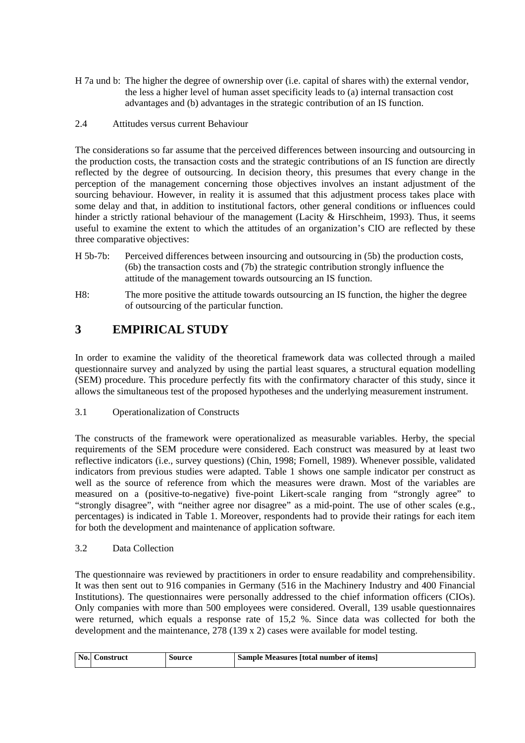- H 7a und b: The higher the degree of ownership over (i.e. capital of shares with) the external vendor, the less a higher level of human asset specificity leads to (a) internal transaction cost advantages and (b) advantages in the strategic contribution of an IS function.
- 2.4 Attitudes versus current Behaviour

The considerations so far assume that the perceived differences between insourcing and outsourcing in the production costs, the transaction costs and the strategic contributions of an IS function are directly reflected by the degree of outsourcing. In decision theory, this presumes that every change in the perception of the management concerning those objectives involves an instant adjustment of the sourcing behaviour. However, in reality it is assumed that this adjustment process takes place with some delay and that, in addition to institutional factors, other general conditions or influences could hinder a strictly rational behaviour of the management (Lacity & Hirschheim, 1993). Thus, it seems useful to examine the extent to which the attitudes of an organization's CIO are reflected by these three comparative objectives:

- H 5b-7b: Perceived differences between insourcing and outsourcing in (5b) the production costs, (6b) the transaction costs and (7b) the strategic contribution strongly influence the attitude of the management towards outsourcing an IS function.
- H8: The more positive the attitude towards outsourcing an IS function, the higher the degree of outsourcing of the particular function.

# **3 EMPIRICAL STUDY**

In order to examine the validity of the theoretical framework data was collected through a mailed questionnaire survey and analyzed by using the partial least squares, a structural equation modelling (SEM) procedure. This procedure perfectly fits with the confirmatory character of this study, since it allows the simultaneous test of the proposed hypotheses and the underlying measurement instrument.

3.1 Operationalization of Constructs

The constructs of the framework were operationalized as measurable variables. Herby, the special requirements of the SEM procedure were considered. Each construct was measured by at least two reflective indicators (i.e., survey questions) (Chin, 1998; Fornell, 1989). Whenever possible, validated indicators from previous studies were adapted. Table 1 shows one sample indicator per construct as well as the source of reference from which the measures were drawn. Most of the variables are measured on a (positive-to-negative) five-point Likert-scale ranging from "strongly agree" to "strongly disagree", with "neither agree nor disagree" as a mid-point. The use of other scales (e.g., percentages) is indicated in Table 1. Moreover, respondents had to provide their ratings for each item for both the development and maintenance of application software.

3.2 Data Collection

The questionnaire was reviewed by practitioners in order to ensure readability and comprehensibility. It was then sent out to 916 companies in Germany (516 in the Machinery Industry and 400 Financial Institutions). The questionnaires were personally addressed to the chief information officers (CIOs). Only companies with more than 500 employees were considered. Overall, 139 usable questionnaires were returned, which equals a response rate of 15,2 %. Since data was collected for both the development and the maintenance, 278 (139 x 2) cases were available for model testing.

| No. | ∴onstruct | Source | Sample Measures   total number of items |
|-----|-----------|--------|-----------------------------------------|
|-----|-----------|--------|-----------------------------------------|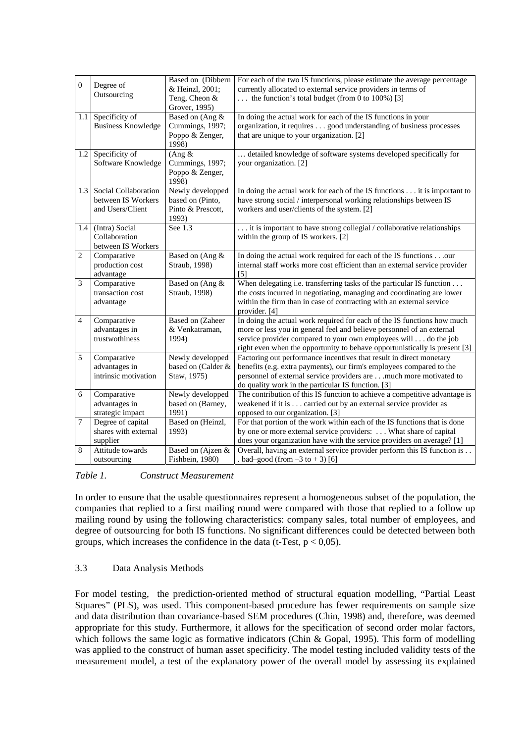| $\overline{0}$ | Degree of<br>Outsourcing                                       | Based on (Dibbern<br>& Heinzl, 2001;<br>Teng, Cheon &<br>Grover, 1995) | For each of the two IS functions, please estimate the average percentage<br>currently allocated to external service providers in terms of<br>the function's total budget (from 0 to 100%) [3]                                                                                                     |
|----------------|----------------------------------------------------------------|------------------------------------------------------------------------|---------------------------------------------------------------------------------------------------------------------------------------------------------------------------------------------------------------------------------------------------------------------------------------------------|
| 1.1            | Specificity of<br><b>Business Knowledge</b>                    | Based on (Ang &<br>Cummings, 1997;<br>Poppo & Zenger,<br>1998)         | In doing the actual work for each of the IS functions in your<br>organization, it requires good understanding of business processes<br>that are unique to your organization. [2]                                                                                                                  |
| 1.2            | Specificity of<br>Software Knowledge                           | (Ang &<br>Cummings, 1997;<br>Poppo & Zenger,<br>1998)                  | detailed knowledge of software systems developed specifically for<br>your organization. [2]                                                                                                                                                                                                       |
| 1.3            | Social Collaboration<br>between IS Workers<br>and Users/Client | Newly developped<br>based on (Pinto,<br>Pinto & Prescott,<br>1993)     | In doing the actual work for each of the IS functions it is important to<br>have strong social / interpersonal working relationships between IS<br>workers and user/clients of the system. [2]                                                                                                    |
| 1.4            | (Intra) Social<br>Collaboration<br>between IS Workers          | See 1.3                                                                | it is important to have strong collegial / collaborative relationships<br>within the group of IS workers. [2]                                                                                                                                                                                     |
| $\overline{c}$ | Comparative<br>production cost<br>advantage                    | Based on (Ang &<br>Straub, 1998)                                       | In doing the actual work required for each of the IS functionsour<br>internal staff works more cost efficient than an external service provider<br>$[5]$                                                                                                                                          |
| 3              | Comparative<br>transaction cost<br>advantage                   | Based on (Ang &<br>Straub, 1998)                                       | When delegating i.e. transferring tasks of the particular IS function $\dots$<br>the costs incurred in negotiating, managing and coordinating are lower<br>within the firm than in case of contracting with an external service<br>provider. [4]                                                  |
| $\overline{4}$ | Comparative<br>advantages in<br>trustwothiness                 | <b>Based on (Zaheer</b><br>& Venkatraman,<br>1994)                     | In doing the actual work required for each of the IS functions how much<br>more or less you in general feel and believe personnel of an external<br>service provider compared to your own employees will do the job<br>right even when the opportunity to behave opportunistically is present [3] |
| 5              | Comparative<br>advantages in<br>intrinsic motivation           | Newly developped<br>based on (Calder &<br>Staw, 1975)                  | Factoring out performance incentives that result in direct monetary<br>benefits (e.g. extra payments), our firm's employees compared to the<br>personnel of external service providers aremuch more motivated to<br>do quality work in the particular IS function. [3]                            |
| 6              | Comparative<br>advantages in<br>strategic impact               | Newly developped<br>based on (Barney,<br>1991)                         | The contribution of this IS function to achieve a competitive advantage is<br>weakened if it is carried out by an external service provider as<br>opposed to our organization. [3]                                                                                                                |
| 7              | Degree of capital<br>shares with external<br>supplier          | Based on (Heinzl,<br>1993)                                             | For that portion of the work within each of the IS functions that is done<br>by one or more external service providers:  What share of capital<br>does your organization have with the service providers on average? [1]                                                                          |
| 8              | Attitude towards<br>outsourcing                                | Based on (Ajzen &<br>Fishbein, 1980)                                   | Overall, having an external service provider perform this IS function is<br>$bad$ -good (from $-3$ to $+3$ ) [6]                                                                                                                                                                                  |

#### *Table 1. Construct Measurement*

In order to ensure that the usable questionnaires represent a homogeneous subset of the population, the companies that replied to a first mailing round were compared with those that replied to a follow up mailing round by using the following characteristics: company sales, total number of employees, and degree of outsourcing for both IS functions. No significant differences could be detected between both groups, which increases the confidence in the data (t-Test,  $p < 0.05$ ).

## 3.3 Data Analysis Methods

For model testing, the prediction-oriented method of structural equation modelling, "Partial Least Squares" (PLS), was used. This component-based procedure has fewer requirements on sample size and data distribution than covariance-based SEM procedures (Chin, 1998) and, therefore, was deemed appropriate for this study. Furthermore, it allows for the specification of second order molar factors, which follows the same logic as formative indicators (Chin & Gopal, 1995). This form of modelling was applied to the construct of human asset specificity. The model testing included validity tests of the measurement model, a test of the explanatory power of the overall model by assessing its explained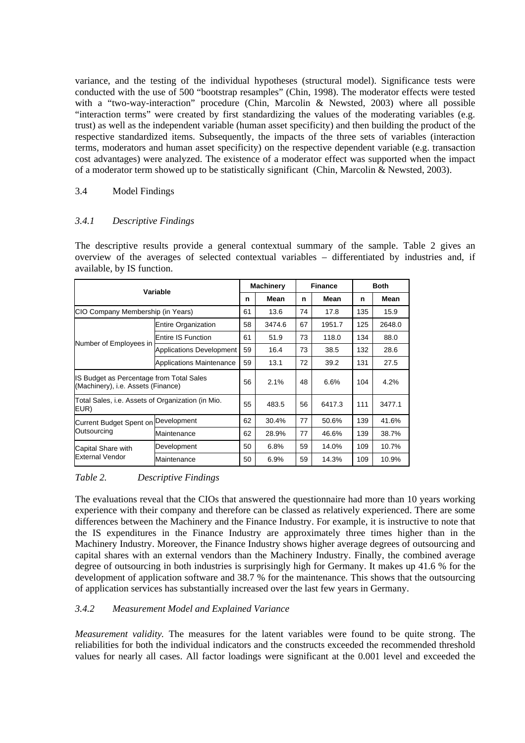variance, and the testing of the individual hypotheses (structural model). Significance tests were conducted with the use of 500 "bootstrap resamples" (Chin, 1998). The moderator effects were tested with a "two-way-interaction" procedure (Chin, Marcolin & Newsted, 2003) where all possible "interaction terms" were created by first standardizing the values of the moderating variables (e.g. trust) as well as the independent variable (human asset specificity) and then building the product of the respective standardized items. Subsequently, the impacts of the three sets of variables (interaction terms, moderators and human asset specificity) on the respective dependent variable (e.g. transaction cost advantages) were analyzed. The existence of a moderator effect was supported when the impact of a moderator term showed up to be statistically significant (Chin, Marcolin & Newsted, 2003).

#### 3.4 Model Findings

## *3.4.1 Descriptive Findings*

The descriptive results provide a general contextual summary of the sample. Table 2 gives an overview of the averages of selected contextual variables – differentiated by industries and, if available, by IS function.

| Variable                                                                       |                                 |    | <b>Machinery</b> |    | <b>Finance</b> |     | <b>Both</b> |  |
|--------------------------------------------------------------------------------|---------------------------------|----|------------------|----|----------------|-----|-------------|--|
|                                                                                |                                 |    | Mean             | n  | Mean           | n   | Mean        |  |
| CIO Company Membership (in Years)                                              |                                 |    | 13.6             | 74 | 17.8           | 135 | 15.9        |  |
|                                                                                | <b>Entire Organization</b>      |    | 3474.6           | 67 | 1951.7         | 125 | 2648.0      |  |
| Number of Employees in                                                         | Entire IS Function              |    | 51.9             | 73 | 118.0          | 134 | 88.0        |  |
|                                                                                | Applications Development        |    | 16.4             | 73 | 38.5           | 132 | 28.6        |  |
|                                                                                | <b>Applications Maintenance</b> |    | 13.1             | 72 | 39.2           | 131 | 27.5        |  |
| IS Budget as Percentage from Total Sales<br>(Machinery), i.e. Assets (Finance) |                                 |    | 2.1%             | 48 | 6.6%           | 104 | 4.2%        |  |
| Total Sales, i.e. Assets of Organization (in Mio.<br>EUR)                      |                                 |    | 483.5            | 56 | 6417.3         | 111 | 3477.1      |  |
| Current Budget Spent on Development                                            |                                 |    | 30.4%            | 77 | 50.6%          | 139 | 41.6%       |  |
| Outsourcing                                                                    | Maintenance                     | 62 | 28.9%            | 77 | 46.6%          | 139 | 38.7%       |  |
| Capital Share with                                                             | Development                     |    | 6.8%             | 59 | 14.0%          | 109 | 10.7%       |  |
| External Vendor                                                                | Maintenance                     | 50 | 6.9%             | 59 | 14.3%          | 109 | 10.9%       |  |

#### *Table 2. Descriptive Findings*

The evaluations reveal that the CIOs that answered the questionnaire had more than 10 years working experience with their company and therefore can be classed as relatively experienced. There are some differences between the Machinery and the Finance Industry. For example, it is instructive to note that the IS expenditures in the Finance Industry are approximately three times higher than in the Machinery Industry. Moreover, the Finance Industry shows higher average degrees of outsourcing and capital shares with an external vendors than the Machinery Industry. Finally, the combined average degree of outsourcing in both industries is surprisingly high for Germany. It makes up 41.6 % for the development of application software and 38.7 % for the maintenance. This shows that the outsourcing of application services has substantially increased over the last few years in Germany.

## *3.4.2 Measurement Model and Explained Variance*

*Measurement validity.* The measures for the latent variables were found to be quite strong. The reliabilities for both the individual indicators and the constructs exceeded the recommended threshold values for nearly all cases. All factor loadings were significant at the 0.001 level and exceeded the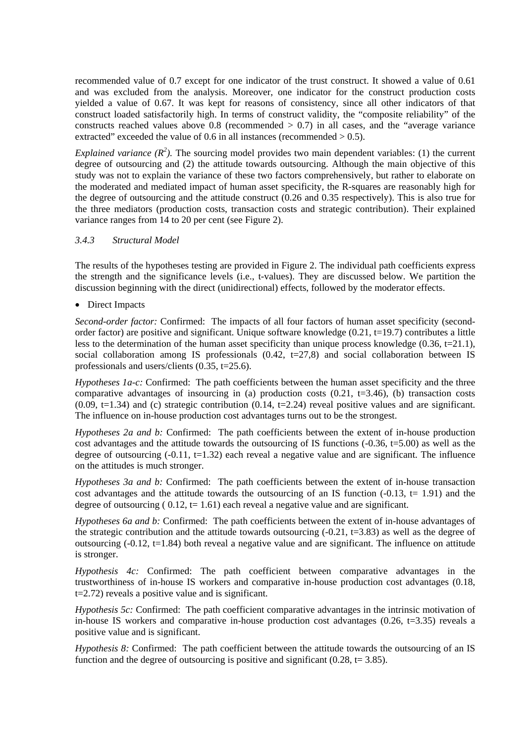recommended value of 0.7 except for one indicator of the trust construct. It showed a value of 0.61 and was excluded from the analysis. Moreover, one indicator for the construct production costs yielded a value of 0.67. It was kept for reasons of consistency, since all other indicators of that construct loaded satisfactorily high. In terms of construct validity, the "composite reliability" of the constructs reached values above  $0.8$  (recommended  $> 0.7$ ) in all cases, and the "average variance extracted" exceeded the value of 0.6 in all instances (recommended  $> 0.5$ ).

*Explained variance*  $(R^2)$ . The sourcing model provides two main dependent variables: (1) the current degree of outsourcing and (2) the attitude towards outsourcing. Although the main objective of this study was not to explain the variance of these two factors comprehensively, but rather to elaborate on the moderated and mediated impact of human asset specificity, the R-squares are reasonably high for the degree of outsourcing and the attitude construct (0.26 and 0.35 respectively). This is also true for the three mediators (production costs, transaction costs and strategic contribution). Their explained variance ranges from 14 to 20 per cent (see Figure 2).

#### *3.4.3 Structural Model*

The results of the hypotheses testing are provided in Figure 2. The individual path coefficients express the strength and the significance levels (i.e., t-values). They are discussed below. We partition the discussion beginning with the direct (unidirectional) effects, followed by the moderator effects.

• Direct Impacts

*Second-order factor:* Confirmed: The impacts of all four factors of human asset specificity (secondorder factor) are positive and significant. Unique software knowledge  $(0.21, t=19.7)$  contributes a little less to the determination of the human asset specificity than unique process knowledge (0.36, t=21.1), social collaboration among IS professionals  $(0.42, t=27.8)$  and social collaboration between IS professionals and users/clients (0.35, t=25.6).

*Hypotheses 1a-c:* Confirmed: The path coefficients between the human asset specificity and the three comparative advantages of insourcing in (a) production costs  $(0.21, t=3.46)$ , (b) transaction costs  $(0.09, t=1.34)$  and (c) strategic contribution  $(0.14, t=2.24)$  reveal positive values and are significant. The influence on in-house production cost advantages turns out to be the strongest.

*Hypotheses 2a and b:* Confirmed: The path coefficients between the extent of in-house production cost advantages and the attitude towards the outsourcing of IS functions  $(-0.36, t=5.00)$  as well as the degree of outsourcing  $(-0.11, t=1.32)$  each reveal a negative value and are significant. The influence on the attitudes is much stronger.

*Hypotheses 3a and b:* Confirmed: The path coefficients between the extent of in-house transaction cost advantages and the attitude towards the outsourcing of an IS function  $(-0.13, t= 1.91)$  and the degree of outsourcing ( $0.12$ , t= 1.61) each reveal a negative value and are significant.

*Hypotheses 6a and b:* Confirmed: The path coefficients between the extent of in-house advantages of the strategic contribution and the attitude towards outsourcing  $(-0.21, t=3.83)$  as well as the degree of outsourcing (-0.12, t=1.84) both reveal a negative value and are significant. The influence on attitude is stronger.

*Hypothesis 4c:* Confirmed: The path coefficient between comparative advantages in the trustworthiness of in-house IS workers and comparative in-house production cost advantages (0.18, t=2.72) reveals a positive value and is significant.

*Hypothesis 5c:* Confirmed: The path coefficient comparative advantages in the intrinsic motivation of in-house IS workers and comparative in-house production cost advantages  $(0.26, t=3.35)$  reveals a positive value and is significant.

*Hypothesis 8:* Confirmed: The path coefficient between the attitude towards the outsourcing of an IS function and the degree of outsourcing is positive and significant  $(0.28, t= 3.85)$ .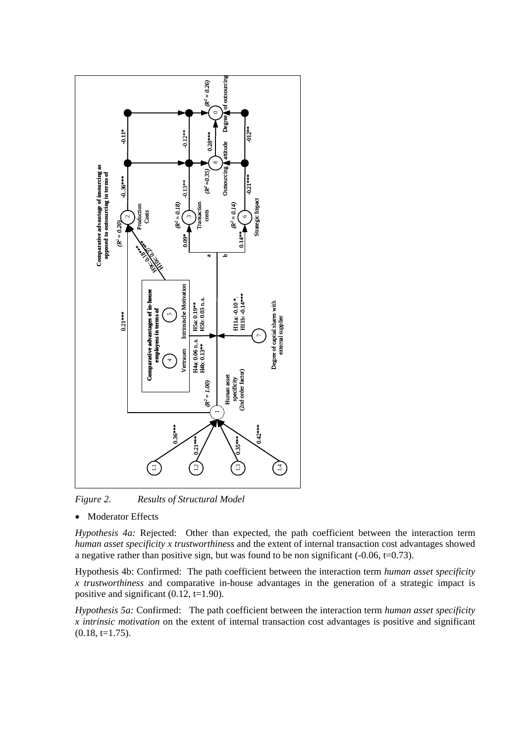

*Figure 2. Results of Structural Model* 

**Moderator Effects** 

*Hypothesis 4a:* Rejected: Other than expected, the path coefficient between the interaction term *human asset specificity x trustworthiness* and the extent of internal transaction cost advantages showed a negative rather than positive sign, but was found to be non significant  $(-0.06, t=0.73)$ .

Hypothesis 4b: Confirmed: The path coefficient between the interaction term *human asset specificity x trustworthiness* and comparative in-house advantages in the generation of a strategic impact is positive and significant  $(0.12, t=1.90)$ .

*Hypothesis 5a:* Confirmed: The path coefficient between the interaction term *human asset specificity x intrinsic motivation* on the extent of internal transaction cost advantages is positive and significant  $(0.18, t=1.75).$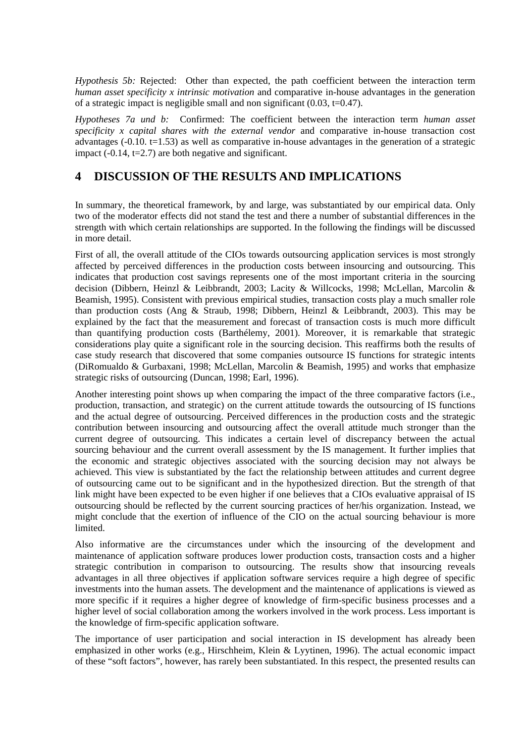*Hypothesis 5b:* Rejected: Other than expected, the path coefficient between the interaction term *human asset specificity x intrinsic motivation* and comparative in-house advantages in the generation of a strategic impact is negligible small and non significant  $(0.03, t=0.47)$ .

*Hypotheses 7a und b:* Confirmed: The coefficient between the interaction term *human asset specificity x capital shares with the external vendor* and comparative in-house transaction cost advantages  $(-0.10, t=1.53)$  as well as comparative in-house advantages in the generation of a strategic impact  $(-0.14, t=2.7)$  are both negative and significant.

# **4 DISCUSSION OF THE RESULTS AND IMPLICATIONS**

In summary, the theoretical framework, by and large, was substantiated by our empirical data. Only two of the moderator effects did not stand the test and there a number of substantial differences in the strength with which certain relationships are supported. In the following the findings will be discussed in more detail.

First of all, the overall attitude of the CIOs towards outsourcing application services is most strongly affected by perceived differences in the production costs between insourcing and outsourcing. This indicates that production cost savings represents one of the most important criteria in the sourcing decision (Dibbern, Heinzl & Leibbrandt, 2003; Lacity & Willcocks, 1998; McLellan, Marcolin & Beamish, 1995). Consistent with previous empirical studies, transaction costs play a much smaller role than production costs (Ang & Straub, 1998; Dibbern, Heinzl & Leibbrandt, 2003). This may be explained by the fact that the measurement and forecast of transaction costs is much more difficult than quantifying production costs (Barthélemy, 2001). Moreover, it is remarkable that strategic considerations play quite a significant role in the sourcing decision. This reaffirms both the results of case study research that discovered that some companies outsource IS functions for strategic intents (DiRomualdo & Gurbaxani, 1998; McLellan, Marcolin & Beamish, 1995) and works that emphasize strategic risks of outsourcing (Duncan, 1998; Earl, 1996).

Another interesting point shows up when comparing the impact of the three comparative factors (i.e., production, transaction, and strategic) on the current attitude towards the outsourcing of IS functions and the actual degree of outsourcing. Perceived differences in the production costs and the strategic contribution between insourcing and outsourcing affect the overall attitude much stronger than the current degree of outsourcing. This indicates a certain level of discrepancy between the actual sourcing behaviour and the current overall assessment by the IS management. It further implies that the economic and strategic objectives associated with the sourcing decision may not always be achieved. This view is substantiated by the fact the relationship between attitudes and current degree of outsourcing came out to be significant and in the hypothesized direction. But the strength of that link might have been expected to be even higher if one believes that a CIOs evaluative appraisal of IS outsourcing should be reflected by the current sourcing practices of her/his organization. Instead, we might conclude that the exertion of influence of the CIO on the actual sourcing behaviour is more **limited** 

Also informative are the circumstances under which the insourcing of the development and maintenance of application software produces lower production costs, transaction costs and a higher strategic contribution in comparison to outsourcing. The results show that insourcing reveals advantages in all three objectives if application software services require a high degree of specific investments into the human assets. The development and the maintenance of applications is viewed as more specific if it requires a higher degree of knowledge of firm-specific business processes and a higher level of social collaboration among the workers involved in the work process. Less important is the knowledge of firm-specific application software.

The importance of user participation and social interaction in IS development has already been emphasized in other works (e.g., Hirschheim, Klein & Lyytinen, 1996). The actual economic impact of these "soft factors", however, has rarely been substantiated. In this respect, the presented results can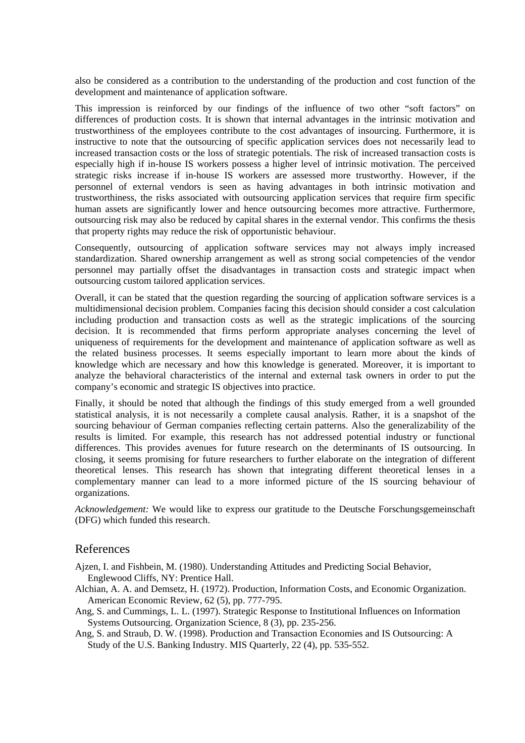also be considered as a contribution to the understanding of the production and cost function of the development and maintenance of application software.

This impression is reinforced by our findings of the influence of two other "soft factors" on differences of production costs. It is shown that internal advantages in the intrinsic motivation and trustworthiness of the employees contribute to the cost advantages of insourcing. Furthermore, it is instructive to note that the outsourcing of specific application services does not necessarily lead to increased transaction costs or the loss of strategic potentials. The risk of increased transaction costs is especially high if in-house IS workers possess a higher level of intrinsic motivation. The perceived strategic risks increase if in-house IS workers are assessed more trustworthy. However, if the personnel of external vendors is seen as having advantages in both intrinsic motivation and trustworthiness, the risks associated with outsourcing application services that require firm specific human assets are significantly lower and hence outsourcing becomes more attractive. Furthermore, outsourcing risk may also be reduced by capital shares in the external vendor. This confirms the thesis that property rights may reduce the risk of opportunistic behaviour.

Consequently, outsourcing of application software services may not always imply increased standardization. Shared ownership arrangement as well as strong social competencies of the vendor personnel may partially offset the disadvantages in transaction costs and strategic impact when outsourcing custom tailored application services.

Overall, it can be stated that the question regarding the sourcing of application software services is a multidimensional decision problem. Companies facing this decision should consider a cost calculation including production and transaction costs as well as the strategic implications of the sourcing decision. It is recommended that firms perform appropriate analyses concerning the level of uniqueness of requirements for the development and maintenance of application software as well as the related business processes. It seems especially important to learn more about the kinds of knowledge which are necessary and how this knowledge is generated. Moreover, it is important to analyze the behavioral characteristics of the internal and external task owners in order to put the company's economic and strategic IS objectives into practice.

Finally, it should be noted that although the findings of this study emerged from a well grounded statistical analysis, it is not necessarily a complete causal analysis. Rather, it is a snapshot of the sourcing behaviour of German companies reflecting certain patterns. Also the generalizability of the results is limited. For example, this research has not addressed potential industry or functional differences. This provides avenues for future research on the determinants of IS outsourcing. In closing, it seems promising for future researchers to further elaborate on the integration of different theoretical lenses. This research has shown that integrating different theoretical lenses in a complementary manner can lead to a more informed picture of the IS sourcing behaviour of organizations.

*Acknowledgement:* We would like to express our gratitude to the Deutsche Forschungsgemeinschaft (DFG) which funded this research.

## References

Ajzen, I. and Fishbein, M. (1980). Understanding Attitudes and Predicting Social Behavior, Englewood Cliffs, NY: Prentice Hall.

- Alchian, A. A. and Demsetz, H. (1972). Production, Information Costs, and Economic Organization. American Economic Review, 62 (5), pp. 777-795.
- Ang, S. and Cummings, L. L. (1997). Strategic Response to Institutional Influences on Information Systems Outsourcing. Organization Science, 8 (3), pp. 235-256.
- Ang, S. and Straub, D. W. (1998). Production and Transaction Economies and IS Outsourcing: A Study of the U.S. Banking Industry. MIS Quarterly, 22 (4), pp. 535-552.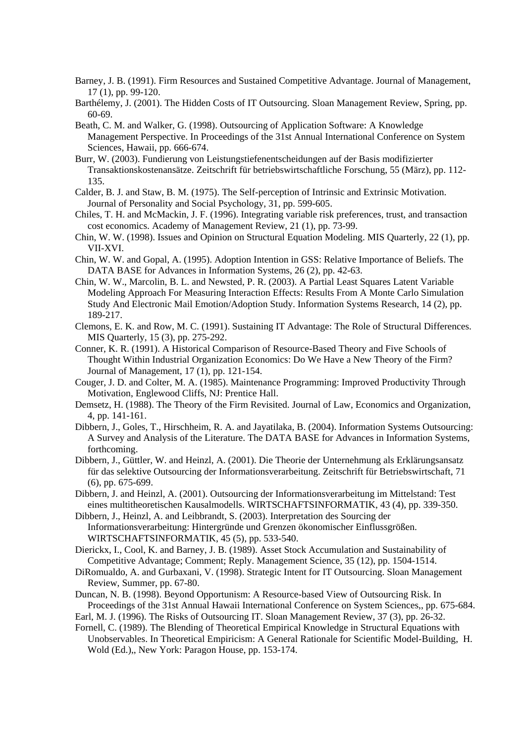- Barney, J. B. (1991). Firm Resources and Sustained Competitive Advantage. Journal of Management, 17 (1), pp. 99-120.
- Barthélemy, J. (2001). The Hidden Costs of IT Outsourcing. Sloan Management Review, Spring, pp. 60-69.
- Beath, C. M. and Walker, G. (1998). Outsourcing of Application Software: A Knowledge Management Perspective. In Proceedings of the 31st Annual International Conference on System Sciences, Hawaii, pp. 666-674.
- Burr, W. (2003). Fundierung von Leistungstiefenentscheidungen auf der Basis modifizierter Transaktionskostenansätze. Zeitschrift für betriebswirtschaftliche Forschung, 55 (März), pp. 112- 135.
- Calder, B. J. and Staw, B. M. (1975). The Self-perception of Intrinsic and Extrinsic Motivation. Journal of Personality and Social Psychology, 31, pp. 599-605.
- Chiles, T. H. and McMackin, J. F. (1996). Integrating variable risk preferences, trust, and transaction cost economics. Academy of Management Review, 21 (1), pp. 73-99.
- Chin, W. W. (1998). Issues and Opinion on Structural Equation Modeling. MIS Quarterly, 22 (1), pp. VII-XVI.
- Chin, W. W. and Gopal, A. (1995). Adoption Intention in GSS: Relative Importance of Beliefs. The DATA BASE for Advances in Information Systems, 26 (2), pp. 42-63.
- Chin, W. W., Marcolin, B. L. and Newsted, P. R. (2003). A Partial Least Squares Latent Variable Modeling Approach For Measuring Interaction Effects: Results From A Monte Carlo Simulation Study And Electronic Mail Emotion/Adoption Study. Information Systems Research, 14 (2), pp. 189-217.
- Clemons, E. K. and Row, M. C. (1991). Sustaining IT Advantage: The Role of Structural Differences. MIS Quarterly, 15 (3), pp. 275-292.
- Conner, K. R. (1991). A Historical Comparison of Resource-Based Theory and Five Schools of Thought Within Industrial Organization Economics: Do We Have a New Theory of the Firm? Journal of Management, 17 (1), pp. 121-154.
- Couger, J. D. and Colter, M. A. (1985). Maintenance Programming: Improved Productivity Through Motivation, Englewood Cliffs, NJ: Prentice Hall.
- Demsetz, H. (1988). The Theory of the Firm Revisited. Journal of Law, Economics and Organization, 4, pp. 141-161.
- Dibbern, J., Goles, T., Hirschheim, R. A. and Jayatilaka, B. (2004). Information Systems Outsourcing: A Survey and Analysis of the Literature. The DATA BASE for Advances in Information Systems, forthcoming.
- Dibbern, J., Güttler, W. and Heinzl, A. (2001). Die Theorie der Unternehmung als Erklärungsansatz für das selektive Outsourcing der Informationsverarbeitung. Zeitschrift für Betriebswirtschaft, 71 (6), pp. 675-699.
- Dibbern, J. and Heinzl, A. (2001). Outsourcing der Informationsverarbeitung im Mittelstand: Test eines multitheoretischen Kausalmodells. WIRTSCHAFTSINFORMATIK, 43 (4), pp. 339-350.
- Dibbern, J., Heinzl, A. and Leibbrandt, S. (2003). Interpretation des Sourcing der Informationsverarbeitung: Hintergründe und Grenzen ökonomischer Einflussgrößen. WIRTSCHAFTSINFORMATIK, 45 (5), pp. 533-540.
- Dierickx, I., Cool, K. and Barney, J. B. (1989). Asset Stock Accumulation and Sustainability of Competitive Advantage; Comment; Reply. Management Science, 35 (12), pp. 1504-1514.
- DiRomualdo, A. and Gurbaxani, V. (1998). Strategic Intent for IT Outsourcing. Sloan Management Review, Summer, pp. 67-80.
- Duncan, N. B. (1998). Beyond Opportunism: A Resource-based View of Outsourcing Risk. In Proceedings of the 31st Annual Hawaii International Conference on System Sciences,, pp. 675-684.
- Earl, M. J. (1996). The Risks of Outsourcing IT. Sloan Management Review, 37 (3), pp. 26-32.
- Fornell, C. (1989). The Blending of Theoretical Empirical Knowledge in Structural Equations with Unobservables. In Theoretical Empiricism: A General Rationale for Scientific Model-Building, H. Wold (Ed.),, New York: Paragon House, pp. 153-174.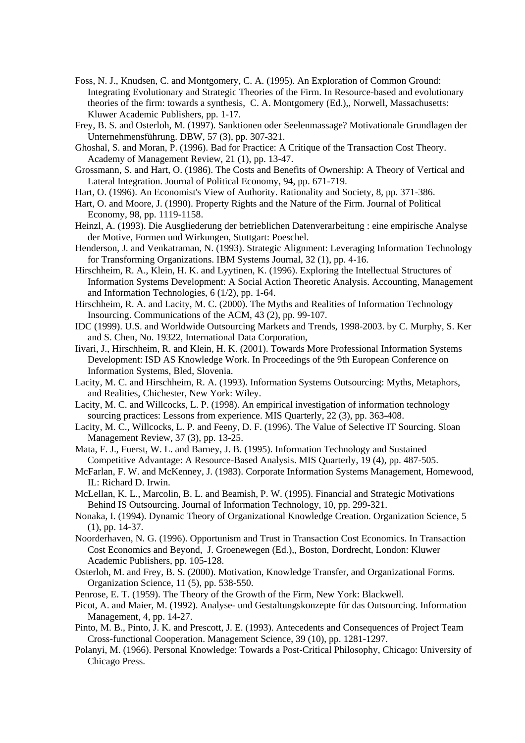- Foss, N. J., Knudsen, C. and Montgomery, C. A. (1995). An Exploration of Common Ground: Integrating Evolutionary and Strategic Theories of the Firm. In Resource-based and evolutionary theories of the firm: towards a synthesis, C. A. Montgomery (Ed.),, Norwell, Massachusetts: Kluwer Academic Publishers, pp. 1-17.
- Frey, B. S. and Osterloh, M. (1997). Sanktionen oder Seelenmassage? Motivationale Grundlagen der Unternehmensführung. DBW, 57 (3), pp. 307-321.
- Ghoshal, S. and Moran, P. (1996). Bad for Practice: A Critique of the Transaction Cost Theory. Academy of Management Review, 21 (1), pp. 13-47.
- Grossmann, S. and Hart, O. (1986). The Costs and Benefits of Ownership: A Theory of Vertical and Lateral Integration. Journal of Political Economy, 94, pp. 671-719.
- Hart, O. (1996). An Economist's View of Authority. Rationality and Society, 8, pp. 371-386.
- Hart, O. and Moore, J. (1990). Property Rights and the Nature of the Firm. Journal of Political Economy, 98, pp. 1119-1158.
- Heinzl, A. (1993). Die Ausgliederung der betrieblichen Datenverarbeitung : eine empirische Analyse der Motive, Formen und Wirkungen, Stuttgart: Poeschel.
- Henderson, J. and Venkatraman, N. (1993). Strategic Alignment: Leveraging Information Technology for Transforming Organizations. IBM Systems Journal, 32 (1), pp. 4-16.
- Hirschheim, R. A., Klein, H. K. and Lyytinen, K. (1996). Exploring the Intellectual Structures of Information Systems Development: A Social Action Theoretic Analysis. Accounting, Management and Information Technologies, 6 (1/2), pp. 1-64.
- Hirschheim, R. A. and Lacity, M. C. (2000). The Myths and Realities of Information Technology Insourcing. Communications of the ACM, 43 (2), pp. 99-107.
- IDC (1999). U.S. and Worldwide Outsourcing Markets and Trends, 1998-2003. by C. Murphy, S. Ker and S. Chen, No. 19322, International Data Corporation,
- Iivari, J., Hirschheim, R. and Klein, H. K. (2001). Towards More Professional Information Systems Development: ISD AS Knowledge Work. In Proceedings of the 9th European Conference on Information Systems, Bled, Slovenia.
- Lacity, M. C. and Hirschheim, R. A. (1993). Information Systems Outsourcing: Myths, Metaphors, and Realities, Chichester, New York: Wiley.
- Lacity, M. C. and Willcocks, L. P. (1998). An empirical investigation of information technology sourcing practices: Lessons from experience. MIS Quarterly, 22 (3), pp. 363-408.
- Lacity, M. C., Willcocks, L. P. and Feeny, D. F. (1996). The Value of Selective IT Sourcing. Sloan Management Review, 37 (3), pp. 13-25.
- Mata, F. J., Fuerst, W. L. and Barney, J. B. (1995). Information Technology and Sustained Competitive Advantage: A Resource-Based Analysis. MIS Quarterly, 19 (4), pp. 487-505.
- McFarlan, F. W. and McKenney, J. (1983). Corporate Information Systems Management, Homewood, IL: Richard D. Irwin.
- McLellan, K. L., Marcolin, B. L. and Beamish, P. W. (1995). Financial and Strategic Motivations Behind IS Outsourcing. Journal of Information Technology, 10, pp. 299-321.
- Nonaka, I. (1994). Dynamic Theory of Organizational Knowledge Creation. Organization Science, 5 (1), pp. 14-37.
- Noorderhaven, N. G. (1996). Opportunism and Trust in Transaction Cost Economics. In Transaction Cost Economics and Beyond, J. Groenewegen (Ed.),, Boston, Dordrecht, London: Kluwer Academic Publishers, pp. 105-128.
- Osterloh, M. and Frey, B. S. (2000). Motivation, Knowledge Transfer, and Organizational Forms. Organization Science, 11 (5), pp. 538-550.
- Penrose, E. T. (1959). The Theory of the Growth of the Firm, New York: Blackwell.
- Picot, A. and Maier, M. (1992). Analyse- und Gestaltungskonzepte für das Outsourcing. Information Management, 4, pp. 14-27.
- Pinto, M. B., Pinto, J. K. and Prescott, J. E. (1993). Antecedents and Consequences of Project Team Cross-functional Cooperation. Management Science, 39 (10), pp. 1281-1297.
- Polanyi, M. (1966). Personal Knowledge: Towards a Post-Critical Philosophy, Chicago: University of Chicago Press.